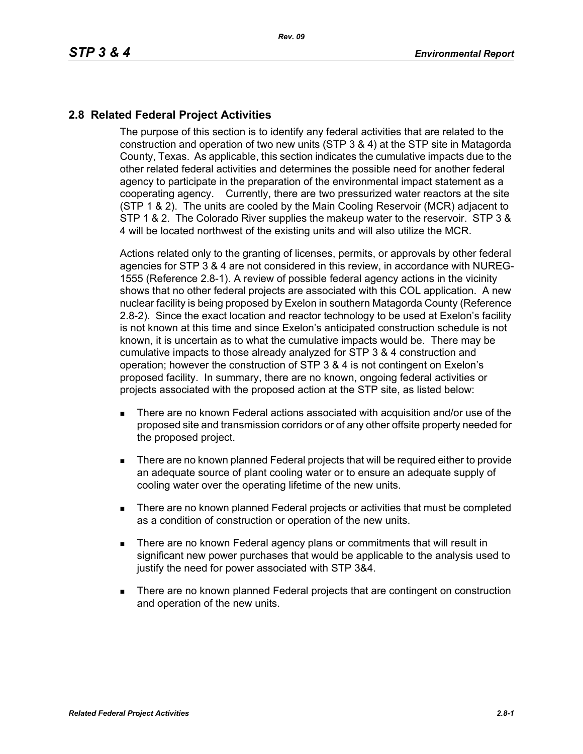## **2.8 Related Federal Project Activities**

The purpose of this section is to identify any federal activities that are related to the construction and operation of two new units (STP 3 & 4) at the STP site in Matagorda County, Texas. As applicable, this section indicates the cumulative impacts due to the other related federal activities and determines the possible need for another federal agency to participate in the preparation of the environmental impact statement as a cooperating agency. Currently, there are two pressurized water reactors at the site (STP 1 & 2). The units are cooled by the Main Cooling Reservoir (MCR) adjacent to STP 1 & 2. The Colorado River supplies the makeup water to the reservoir. STP 3 & 4 will be located northwest of the existing units and will also utilize the MCR.

Actions related only to the granting of licenses, permits, or approvals by other federal agencies for STP 3 & 4 are not considered in this review, in accordance with NUREG-1555 (Reference 2.8-1). A review of possible federal agency actions in the vicinity shows that no other federal projects are associated with this COL application. A new nuclear facility is being proposed by Exelon in southern Matagorda County (Reference 2.8-2). Since the exact location and reactor technology to be used at Exelon's facility is not known at this time and since Exelon's anticipated construction schedule is not known, it is uncertain as to what the cumulative impacts would be. There may be cumulative impacts to those already analyzed for STP 3 & 4 construction and operation; however the construction of STP 3 & 4 is not contingent on Exelon's proposed facility. In summary, there are no known, ongoing federal activities or projects associated with the proposed action at the STP site, as listed below:

- There are no known Federal actions associated with acquisition and/or use of the proposed site and transmission corridors or of any other offsite property needed for the proposed project.
- **There are no known planned Federal projects that will be required either to provide** an adequate source of plant cooling water or to ensure an adequate supply of cooling water over the operating lifetime of the new units.
- There are no known planned Federal projects or activities that must be completed as a condition of construction or operation of the new units.
- **There are no known Federal agency plans or commitments that will result in** significant new power purchases that would be applicable to the analysis used to justify the need for power associated with STP 3&4.
- **There are no known planned Federal projects that are contingent on construction** and operation of the new units.